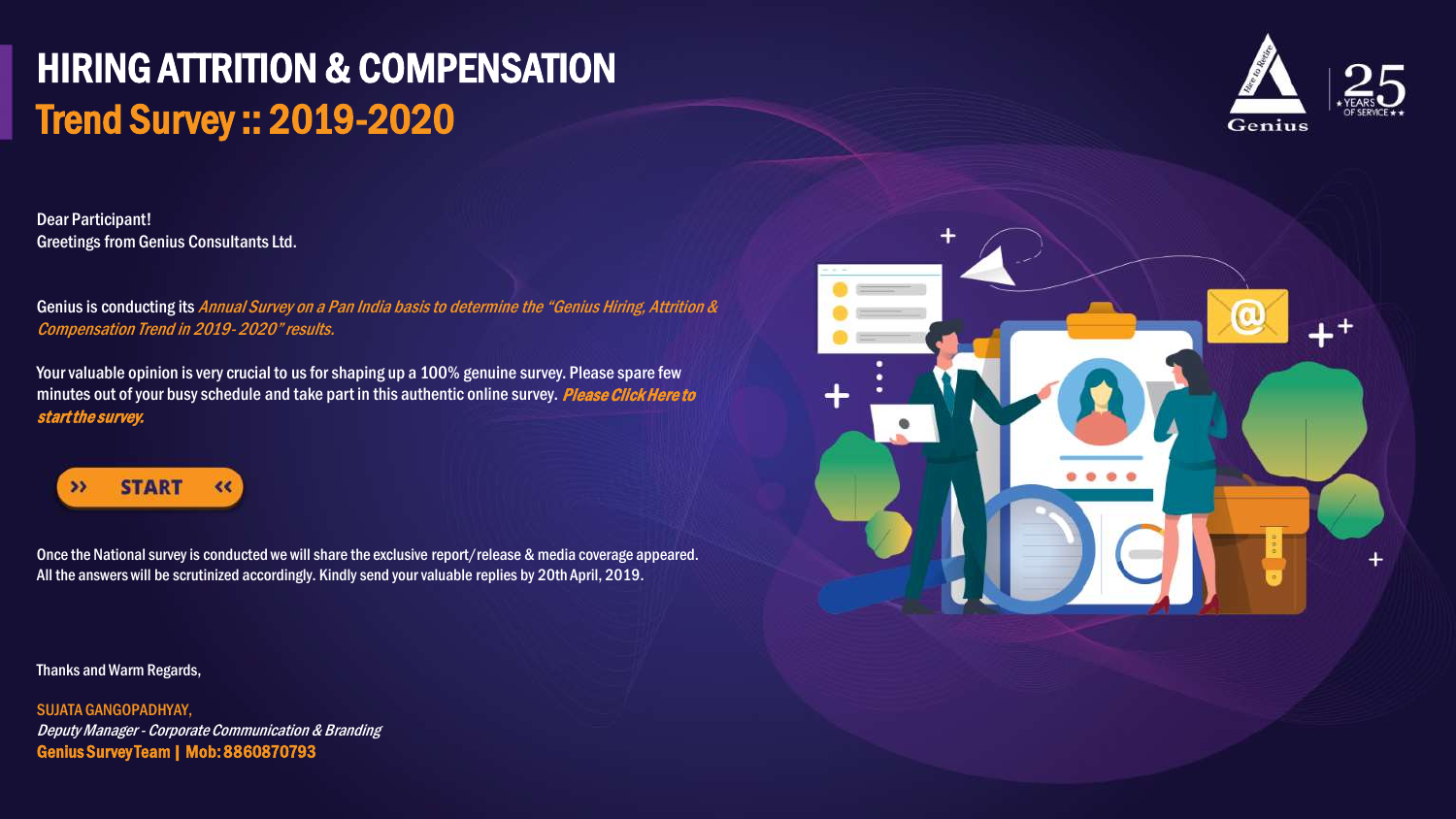## HIRING ATTRITION & COMPENSATION Trend Survey :: 2019-2020

Dear Participant! Greetings from Genius Consultants Ltd.

Genius is conducting its Annual Survey on a Pan India basis to determine the "Genius Hiring, Attrition & Compensation Trend in 2019- 2020" results.

Your valuable opinion is very crucial to us for shaping up a 100% genuine survey. Please spare few minutes out of your busy schedule and take part in this authentic online survey. Please Click Here to start the survey.



Once the National survey is conducted we will share the exclusive report/release & media coverage appeared. All the answers will be scrutinized accordingly. Kindly send your valuable replies by 20th April, 2019.

Thanks and Warm Regards,

SUJATA GANGOPADHYAY, Deputy Manager - Corporate Communication & Branding Genius Survey Team | Mob: 8860870793